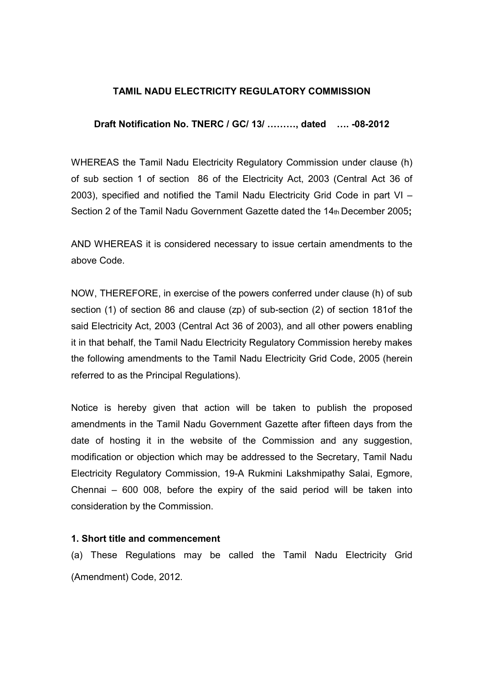# TAMIL NADU ELECTRICITY REGULATORY COMMISSION

### Draft Notification No. TNERC / GC/ 13/ ........., dated .... -08-2012

WHEREAS the Tamil Nadu Electricity Regulatory Commission under clause (h) of sub section 1 of section 86 of the Electricity Act, 2003 (Central Act 36 of 2003), specified and notified the Tamil Nadu Electricity Grid Code in part VI – Section 2 of the Tamil Nadu Government Gazette dated the 14th December 2005;

AND WHEREAS it is considered necessary to issue certain amendments to the above Code.

NOW, THEREFORE, in exercise of the powers conferred under clause (h) of sub section (1) of section 86 and clause (zp) of sub-section (2) of section 181of the said Electricity Act, 2003 (Central Act 36 of 2003), and all other powers enabling it in that behalf, the Tamil Nadu Electricity Regulatory Commission hereby makes the following amendments to the Tamil Nadu Electricity Grid Code, 2005 (herein referred to as the Principal Regulations).

Notice is hereby given that action will be taken to publish the proposed amendments in the Tamil Nadu Government Gazette after fifteen days from the date of hosting it in the website of the Commission and any suggestion, modification or objection which may be addressed to the Secretary, Tamil Nadu Electricity Regulatory Commission, 19-A Rukmini Lakshmipathy Salai, Egmore, Chennai – 600 008, before the expiry of the said period will be taken into consideration by the Commission.

#### 1. Short title and commencement

(a) These Regulations may be called the Tamil Nadu Electricity Grid (Amendment) Code, 2012.